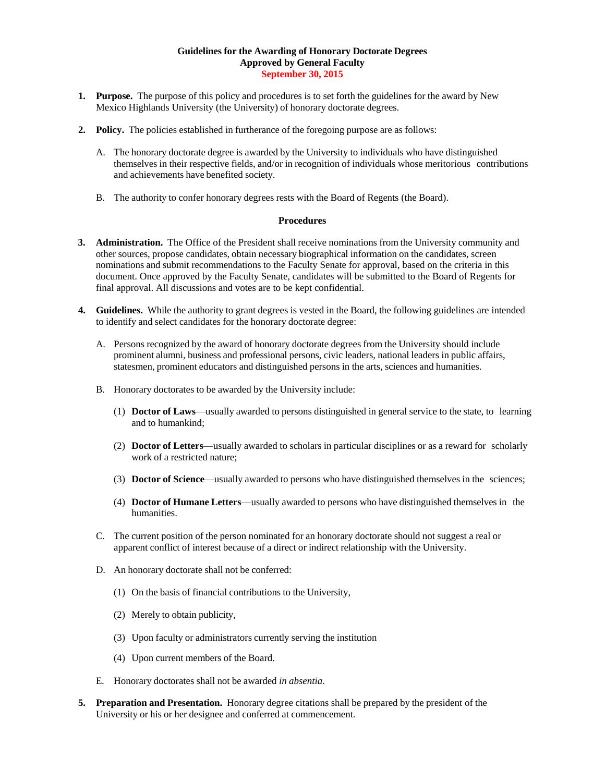## **Guidelines for the Awarding of Honorary Doctorate Degrees Approved by General Faculty September 30, 2015**

- **1. Purpose.** The purpose of this policy and procedures is to set forth the guidelines for the award by New Mexico Highlands University (the University) of honorary doctorate degrees.
- **2. Policy.** The policies established in furtherance of the foregoing purpose are as follows:
	- A. The honorary doctorate degree is awarded by the University to individuals who have distinguished themselves in their respective fields, and/or in recognition of individuals whose meritorious contributions and achievements have benefited society.
	- B. The authority to confer honorary degrees rests with the Board of Regents (the Board).

## **Procedures**

- **3. Administration.** The Office of the President shall receive nominations from the University community and other sources, propose candidates, obtain necessary biographical information on the candidates, screen nominations and submit recommendations to the Faculty Senate for approval, based on the criteria in this document. Once approved by the Faculty Senate, candidates will be submitted to the Board of Regents for final approval. All discussions and votes are to be kept confidential.
- **4. Guidelines.** While the authority to grant degrees is vested in the Board, the following guidelines are intended to identify and select candidates for the honorary doctorate degree:
	- A. Persons recognized by the award of honorary doctorate degrees from the University should include prominent alumni, business and professional persons, civic leaders, national leaders in public affairs, statesmen, prominent educators and distinguished persons in the arts, sciences and humanities.
	- B. Honorary doctorates to be awarded by the University include:
		- (1) **Doctor of Laws**—usually awarded to persons distinguished in general service to the state, to learning and to humankind;
		- (2) **Doctor of Letters**—usually awarded to scholars in particular disciplines or as a reward for scholarly work of a restricted nature;
		- (3) **Doctor of Science**—usually awarded to persons who have distinguished themselves in the sciences;
		- (4) **Doctor of Humane Letters**—usually awarded to persons who have distinguished themselves in the humanities.
	- C. The current position of the person nominated for an honorary doctorate should not suggest a real or apparent conflict of interest because of a direct or indirect relationship with the University.
	- D. An honorary doctorate shall not be conferred:
		- (1) On the basis of financial contributions to the University,
		- (2) Merely to obtain publicity,
		- (3) Upon faculty or administrators currently serving the institution
		- (4) Upon current members of the Board.
	- E. Honorary doctorates shall not be awarded *in absentia*.
- **5. Preparation and Presentation.** Honorary degree citations shall be prepared by the president of the University or his or her designee and conferred at commencement.